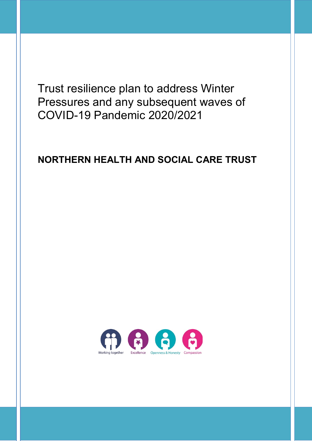Trust resilience plan to address Winter Pressures and any subsequent waves of COVID-19 Pandemic 2020/2021

# **NORTHERN HEALTH AND SOCIAL CARE TRUST**

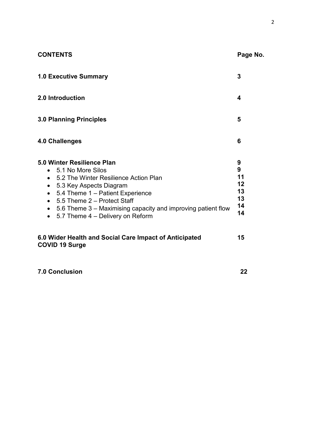| <b>CONTENTS</b>                                                                                                                                                                                                                                                                                                                                                 | Page No.                                   |
|-----------------------------------------------------------------------------------------------------------------------------------------------------------------------------------------------------------------------------------------------------------------------------------------------------------------------------------------------------------------|--------------------------------------------|
| <b>1.0 Executive Summary</b>                                                                                                                                                                                                                                                                                                                                    | 3                                          |
| 2.0 Introduction                                                                                                                                                                                                                                                                                                                                                | 4                                          |
| <b>3.0 Planning Principles</b>                                                                                                                                                                                                                                                                                                                                  | 5                                          |
| 4.0 Challenges                                                                                                                                                                                                                                                                                                                                                  | 6                                          |
| 5.0 Winter Resilience Plan<br>• 5.1 No More Silos<br>• 5.2 The Winter Resilience Action Plan<br>5.3 Key Aspects Diagram<br>$\bullet$<br>5.4 Theme 1 - Patient Experience<br>$\bullet$<br>5.5 Theme 2 - Protect Staff<br>$\bullet$<br>5.6 Theme 3 – Maximising capacity and improving patient flow<br>$\bullet$<br>5.7 Theme 4 - Delivery on Reform<br>$\bullet$ | 9<br>9<br>11<br>12<br>13<br>13<br>14<br>14 |
| 6.0 Wider Health and Social Care Impact of Anticipated<br><b>COVID 19 Surge</b>                                                                                                                                                                                                                                                                                 | 15                                         |

**7.0 Conclusion 22**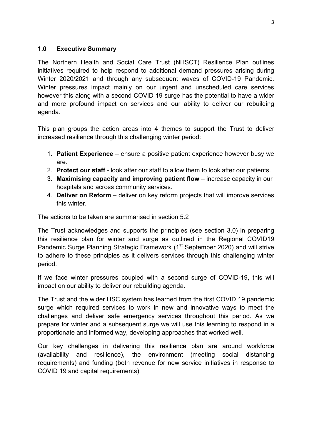## **1.0 Executive Summary**

The Northern Health and Social Care Trust (NHSCT) Resilience Plan outlines initiatives required to help respond to additional demand pressures arising during Winter 2020/2021 and through any subsequent waves of COVID-19 Pandemic. Winter pressures impact mainly on our urgent and unscheduled care services however this along with a second COVID 19 surge has the potential to have a wider and more profound impact on services and our ability to deliver our rebuilding agenda.

This plan groups the action areas into 4 themes to support the Trust to deliver increased resilience through this challenging winter period:

- 1. **Patient Experience**  ensure a positive patient experience however busy we are.
- 2. **Protect our staff** look after our staff to allow them to look after our patients.
- 3. **Maximising capacity and improving patient flow** increase capacity in our hospitals and across community services.
- 4. **Deliver on Reform** deliver on key reform projects that will improve services this winter.

The actions to be taken are summarised in section 5.2

The Trust acknowledges and supports the principles (see section 3.0) in preparing this resilience plan for winter and surge as outlined in the Regional COVID19 Pandemic Surge Planning Strategic Framework (1<sup>st</sup> September 2020) and will strive to adhere to these principles as it delivers services through this challenging winter period.

If we face winter pressures coupled with a second surge of COVID-19, this will impact on our ability to deliver our rebuilding agenda.

The Trust and the wider HSC system has learned from the first COVID 19 pandemic surge which required services to work in new and innovative ways to meet the challenges and deliver safe emergency services throughout this period. As we prepare for winter and a subsequent surge we will use this learning to respond in a proportionate and informed way, developing approaches that worked well.

Our key challenges in delivering this resilience plan are around workforce (availability and resilience), the environment (meeting social distancing requirements) and funding (both revenue for new service initiatives in response to COVID 19 and capital requirements).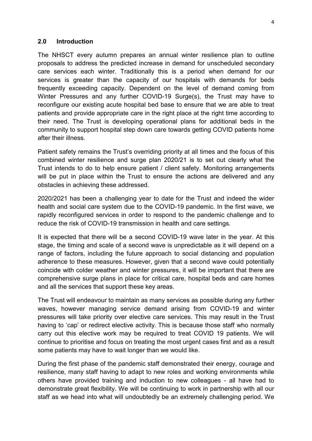#### **2.0 Introduction**

The NHSCT every autumn prepares an annual winter resilience plan to outline proposals to address the predicted increase in demand for unscheduled secondary care services each winter. Traditionally this is a period when demand for our services is greater than the capacity of our hospitals with demands for beds frequently exceeding capacity. Dependent on the level of demand coming from Winter Pressures and any further COVID-19 Surge(s), the Trust may have to reconfigure our existing acute hospital bed base to ensure that we are able to treat patients and provide appropriate care in the right place at the right time according to their need. The Trust is developing operational plans for additional beds in the community to support hospital step down care towards getting COVID patients home after their illness.

Patient safety remains the Trust's overriding priority at all times and the focus of this combined winter resilience and surge plan 2020/21 is to set out clearly what the Trust intends to do to help ensure patient / client safety. Monitoring arrangements will be put in place within the Trust to ensure the actions are delivered and any obstacles in achieving these addressed.

2020/2021 has been a challenging year to date for the Trust and indeed the wider health and social care system due to the COVID-19 pandemic. In the first wave, we rapidly reconfigured services in order to respond to the pandemic challenge and to reduce the risk of COVID-19 transmission in health and care settings.

It is expected that there will be a second COVID-19 wave later in the year. At this stage, the timing and scale of a second wave is unpredictable as it will depend on a range of factors, including the future approach to social distancing and population adherence to these measures. However, given that a second wave could potentially coincide with colder weather and winter pressures, it will be important that there are comprehensive surge plans in place for critical care, hospital beds and care homes and all the services that support these key areas.

The Trust will endeavour to maintain as many services as possible during any further waves, however managing service demand arising from COVID-19 and winter pressures will take priority over elective care services. This may result in the Trust having to 'cap' or redirect elective activity. This is because those staff who normally carry out this elective work may be required to treat COVID 19 patients. We will continue to prioritise and focus on treating the most urgent cases first and as a result some patients may have to wait longer than we would like.

During the first phase of the pandemic staff demonstrated their energy, courage and resilience, many staff having to adapt to new roles and working environments while others have provided training and induction to new colleagues - all have had to demonstrate great flexibility. We will be continuing to work in partnership with all our staff as we head into what will undoubtedly be an extremely challenging period. We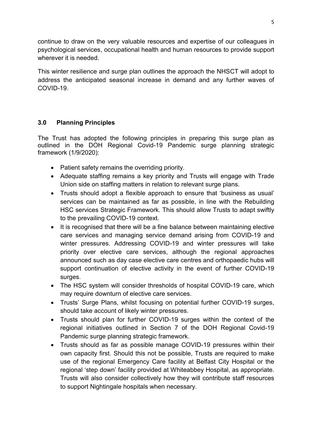continue to draw on the very valuable resources and expertise of our colleagues in psychological services, occupational health and human resources to provide support wherever it is needed.

This winter resilience and surge plan outlines the approach the NHSCT will adopt to address the anticipated seasonal increase in demand and any further waves of COVID-19.

# **3.0 Planning Principles**

The Trust has adopted the following principles in preparing this surge plan as outlined in the DOH Regional Covid-19 Pandemic surge planning strategic framework (1/9/2020):

- Patient safety remains the overriding priority.
- Adequate staffing remains a key priority and Trusts will engage with Trade Union side on staffing matters in relation to relevant surge plans.
- Trusts should adopt a flexible approach to ensure that 'business as usual' services can be maintained as far as possible, in line with the Rebuilding HSC services Strategic Framework. This should allow Trusts to adapt swiftly to the prevailing COVID-19 context.
- It is recognised that there will be a fine balance between maintaining elective care services and managing service demand arising from COVID-19 and winter pressures. Addressing COVID-19 and winter pressures will take priority over elective care services, although the regional approaches announced such as day case elective care centres and orthopaedic hubs will support continuation of elective activity in the event of further COVID-19 surges.
- The HSC system will consider thresholds of hospital COVID-19 care, which may require downturn of elective care services.
- Trusts' Surge Plans, whilst focusing on potential further COVID-19 surges, should take account of likely winter pressures.
- Trusts should plan for further COVID-19 surges within the context of the regional initiatives outlined in Section 7 of the DOH Regional Covid-19 Pandemic surge planning strategic framework.
- Trusts should as far as possible manage COVID-19 pressures within their own capacity first. Should this not be possible, Trusts are required to make use of the regional Emergency Care facility at Belfast City Hospital or the regional 'step down' facility provided at Whiteabbey Hospital, as appropriate. Trusts will also consider collectively how they will contribute staff resources to support Nightingale hospitals when necessary.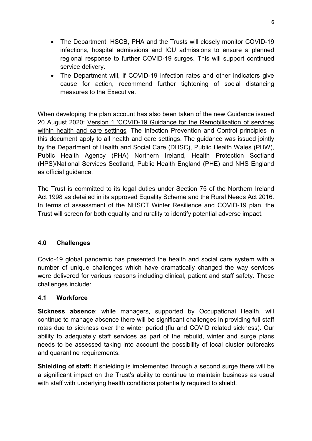- The Department, HSCB, PHA and the Trusts will closely monitor COVID-19 infections, hospital admissions and ICU admissions to ensure a planned regional response to further COVID-19 surges. This will support continued service delivery.
- The Department will, if COVID-19 infection rates and other indicators give cause for action, recommend further tightening of social distancing measures to the Executive.

When developing the plan account has also been taken of the new Guidance issued 20 August 2020: [Version 1 'COVID-19 Guidance for the Remobilisation of services](https://assets.publishing.service.gov.uk/government/uploads/system/uploads/attachment_data/file/910885/COVID-19_Infection_prevention_and_control_guidance_FINAL_PDF_20082020.pdf)  [within health and care settings](https://assets.publishing.service.gov.uk/government/uploads/system/uploads/attachment_data/file/910885/COVID-19_Infection_prevention_and_control_guidance_FINAL_PDF_20082020.pdf)*.* The Infection Prevention and Control principles in this document apply to all health and care settings. The guidance was issued jointly by the Department of Health and Social Care (DHSC), Public Health Wales (PHW), Public Health Agency (PHA) Northern Ireland, Health Protection Scotland (HPS)/National Services Scotland, Public Health England (PHE) and NHS England as official guidance.

The Trust is committed to its legal duties under Section 75 of the Northern Ireland Act 1998 as detailed in its approved Equality Scheme and the Rural Needs Act 2016. In terms of assessment of the NHSCT Winter Resilience and COVID-19 plan, the Trust will screen for both equality and rurality to identify potential adverse impact.

# **4.0 Challenges**

Covid-19 global pandemic has presented the health and social care system with a number of unique challenges which have dramatically changed the way services were delivered for various reasons including clinical, patient and staff safety. These challenges include:

# **4.1 Workforce**

**Sickness absence**: while managers, supported by Occupational Health, will continue to manage absence there will be significant challenges in providing full staff rotas due to sickness over the winter period (flu and COVID related sickness). Our ability to adequately staff services as part of the rebuild, winter and surge plans needs to be assessed taking into account the possibility of local cluster outbreaks and quarantine requirements.

**Shielding of staff:** If shielding is implemented through a second surge there will be a significant impact on the Trust's ability to continue to maintain business as usual with staff with underlying health conditions potentially required to shield.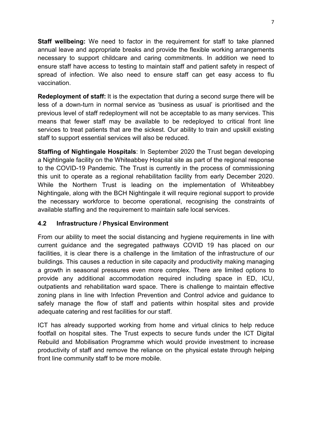**Staff wellbeing:** We need to factor in the requirement for staff to take planned annual leave and appropriate breaks and provide the flexible working arrangements necessary to support childcare and caring commitments. In addition we need to ensure staff have access to testing to maintain staff and patient safety in respect of spread of infection. We also need to ensure staff can get easy access to flu vaccination.

**Redeployment of staff:** It is the expectation that during a second surge there will be less of a down-turn in normal service as 'business as usual' is prioritised and the previous level of staff redeployment will not be acceptable to as many services. This means that fewer staff may be available to be redeployed to critical front line services to treat patients that are the sickest. Our ability to train and upskill existing staff to support essential services will also be reduced.

**Staffing of Nightingale Hospitals**: In September 2020 the Trust began developing a Nightingale facility on the Whiteabbey Hospital site as part of the regional response to the COVID-19 Pandemic. The Trust is currently in the process of commissioning this unit to operate as a regional rehabilitation facility from early December 2020. While the Northern Trust is leading on the implementation of Whiteabbey Nightingale, along with the BCH Nightingale it will require regional support to provide the necessary workforce to become operational, recognising the constraints of available staffing and the requirement to maintain safe local services.

# **4.2 Infrastructure / Physical Environment**

From our ability to meet the social distancing and hygiene requirements in line with current guidance and the segregated pathways COVID 19 has placed on our facilities, it is clear there is a challenge in the limitation of the infrastructure of our buildings. This causes a reduction in site capacity and productivity making managing a growth in seasonal pressures even more complex. There are limited options to provide any additional accommodation required including space in ED, ICU, outpatients and rehabilitation ward space. There is challenge to maintain effective zoning plans in line with Infection Prevention and Control advice and guidance to safely manage the flow of staff and patients within hospital sites and provide adequate catering and rest facilities for our staff.

ICT has already supported working from home and virtual clinics to help reduce footfall on hospital sites. The Trust expects to secure funds under the ICT Digital Rebuild and Mobilisation Programme which would provide investment to increase productivity of staff and remove the reliance on the physical estate through helping front line community staff to be more mobile.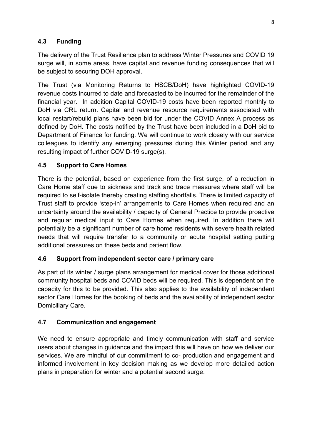# **4.3 Funding**

The delivery of the Trust Resilience plan to address Winter Pressures and COVID 19 surge will, in some areas, have capital and revenue funding consequences that will be subject to securing DOH approval.

The Trust (via Monitoring Returns to HSCB/DoH) have highlighted COVID-19 revenue costs incurred to date and forecasted to be incurred for the remainder of the financial year. In addition Capital COVID-19 costs have been reported monthly to DoH via CRL return. Capital and revenue resource requirements associated with local restart/rebuild plans have been bid for under the COVID Annex A process as defined by DoH. The costs notified by the Trust have been included in a DoH bid to Department of Finance for funding. We will continue to work closely with our service colleagues to identify any emerging pressures during this Winter period and any resulting impact of further COVID-19 surge(s).

# **4.5 Support to Care Homes**

There is the potential, based on experience from the first surge, of a reduction in Care Home staff due to sickness and track and trace measures where staff will be required to self-isolate thereby creating staffing shortfalls. There is limited capacity of Trust staff to provide 'step-in' arrangements to Care Homes when required and an uncertainty around the availability / capacity of General Practice to provide proactive and regular medical input to Care Homes when required. In addition there will potentially be a significant number of care home residents with severe health related needs that will require transfer to a community or acute hospital setting putting additional pressures on these beds and patient flow*.*

# **4.6 Support from independent sector care / primary care**

As part of its winter / surge plans arrangement for medical cover for those additional community hospital beds and COVID beds will be required. This is dependent on the capacity for this to be provided. This also applies to the availability of independent sector Care Homes for the booking of beds and the availability of independent sector Domiciliary Care.

# **4.7 Communication and engagement**

We need to ensure appropriate and timely communication with staff and service users about changes in guidance and the impact this will have on how we deliver our services. We are mindful of our commitment to co- production and engagement and informed involvement in key decision making as we develop more detailed action plans in preparation for winter and a potential second surge.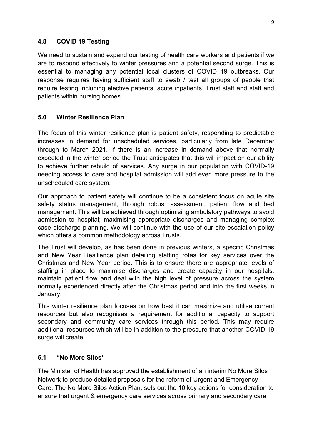## **4.8 COVID 19 Testing**

We need to sustain and expand our testing of health care workers and patients if we are to respond effectively to winter pressures and a potential second surge. This is essential to managing any potential local clusters of COVID 19 outbreaks. Our response requires having sufficient staff to swab / test all groups of people that require testing including elective patients, acute inpatients, Trust staff and staff and patients within nursing homes.

# **5.0 Winter Resilience Plan**

The focus of this winter resilience plan is patient safety, responding to predictable increases in demand for unscheduled services, particularly from late December through to March 2021. If there is an increase in demand above that normally expected in the winter period the Trust anticipates that this will impact on our ability to achieve further rebuild of services. Any surge in our population with COVID-19 needing access to care and hospital admission will add even more pressure to the unscheduled care system.

Our approach to patient safety will continue to be a consistent focus on acute site safety status management, through robust assessment, patient flow and bed management. This will be achieved through optimising ambulatory pathways to avoid admission to hospital; maximising appropriate discharges and managing complex case discharge planning. We will continue with the use of our site escalation policy which offers a common methodology across Trusts.

The Trust will develop, as has been done in previous winters, a specific Christmas and New Year Resilience plan detailing staffing rotas for key services over the Christmas and New Year period. This is to ensure there are appropriate levels of staffing in place to maximise discharges and create capacity in our hospitals, maintain patient flow and deal with the high level of pressure across the system normally experienced directly after the Christmas period and into the first weeks in January.

This winter resilience plan focuses on how best it can maximize and utilise current resources but also recognises a requirement for additional capacity to support secondary and community care services through this period. This may require additional resources which will be in addition to the pressure that another COVID 19 surge will create.

# **5.1 "No More Silos"**

The Minister of Health has approved the establishment of an interim No More Silos Network to produce detailed proposals for the reform of Urgent and Emergency Care. The No More Silos Action Plan, sets out the 10 key actions for consideration to ensure that urgent & emergency care services across primary and secondary care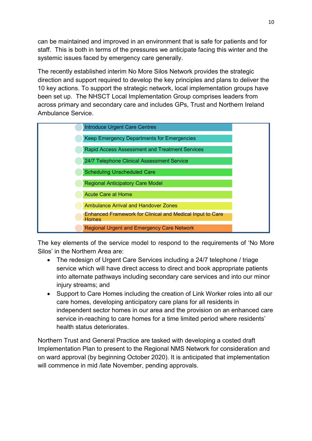can be maintained and improved in an environment that is safe for patients and for staff. This is both in terms of the pressures we anticipate facing this winter and the systemic issues faced by emergency care generally.

The recently established interim No More Silos Network provides the strategic direction and support required to develop the key principles and plans to deliver the 10 key actions. To support the strategic network, local implementation groups have been set up. The NHSCT Local Implementation Group comprises leaders from across primary and secondary care and includes GPs, Trust and Northern Ireland Ambulance Service.

| <b>Introduce Urgent Care Centres</b>                                             |  |
|----------------------------------------------------------------------------------|--|
| Keep Emergency Departments for Emergencies                                       |  |
| Rapid Access Assessment and Treatment Services                                   |  |
| 24/7 Telephone Clinical Assessment Service                                       |  |
| <b>Scheduling Unscheduled Care</b>                                               |  |
| <b>Regional Anticipatory Care Model</b>                                          |  |
| <b>Acute Care at Home</b>                                                        |  |
| Ambulance Arrival and Handover Zones                                             |  |
| <b>Enhanced Framework for Clinical and Medical Input to Care</b><br><b>Homes</b> |  |
| <b>Regional Urgent and Emergency Care Network</b>                                |  |

The key elements of the service model to respond to the requirements of 'No More Silos' in the Northern Area are:

- The redesign of Urgent Care Services including a 24/7 telephone / triage service which will have direct access to direct and book appropriate patients into alternate pathways including secondary care services and into our minor injury streams; and
- Support to Care Homes including the creation of Link Worker roles into all our care homes, developing anticipatory care plans for all residents in independent sector homes in our area and the provision on an enhanced care service in-reaching to care homes for a time limited period where residents' health status deteriorates.

Northern Trust and General Practice are tasked with developing a costed draft Implementation Plan to present to the Regional NMS Network for consideration and on ward approval (by beginning October 2020). It is anticipated that implementation will commence in mid /late November, pending approvals.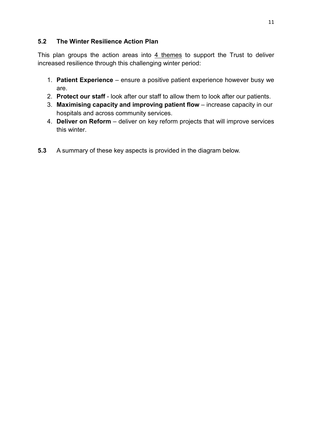# **5.2 The Winter Resilience Action Plan**

This plan groups the action areas into 4 themes to support the Trust to deliver increased resilience through this challenging winter period:

- 1. **Patient Experience**  ensure a positive patient experience however busy we are.
- 2. **Protect our staff** look after our staff to allow them to look after our patients.
- 3. **Maximising capacity and improving patient flow** increase capacity in our hospitals and across community services.
- 4. **Deliver on Reform** deliver on key reform projects that will improve services this winter.
- **5.3** A summary of these key aspects is provided in the diagram below.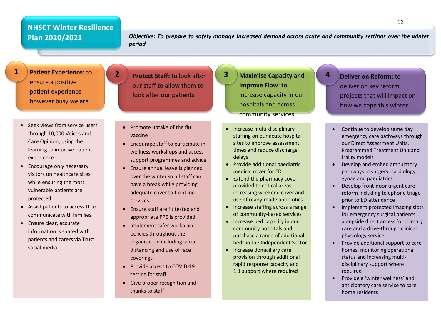# **NHSCT Winter Resilience Plan 2020/2021**

*Objective: To prepare to safely manage increased demand across acute and community settings over the winter period*

**Patient Experience:** to ensure a positive patient experience however busy we are

**1**

- Seek views from service users through 10,000 Voices and Care Opinion, using the learning to improve patient experience
- Encourage only necessary visitors on healthcare sites while ensuring the most vulnerable patients are protected
- Assist patients to access IT to communicate with families
- Ensure clear, accurate information is shared with patients and carers via Trust social media

**Protect Staff:** to look after our staff to allow them to look after our patients

**2**

- Promote uptake of the flu vaccine
- Encourage staff to participate in wellness workshops and access support programmes and advice
- Ensure annual leave is planned over the winter so all staff can have a break while providing adequate cover to frontline services
- Ensure staff are fit tested and appropriate PPE is provided
- Implement safer workplace policies throughout the organisation including social distancing and use of face coverings
- Provide access to COVID-19 testing for staff
- Give proper recognition and thanks to staff

**Maximise Capacity and Improve Flow**: to increase capacity in our hospitals and across community services

**3**

- Increase multi-disciplinary staffing on our acute hospital sites to improve assessment times and reduce discharge delays
- Provide additional paediatric medical cover for ED
- Extend the pharmacy cover provided to critical areas, increasing weekend cover and use of ready-made antibiotics
- Increase staffing across a range of community-based services
- Increase bed capacity in our community hospitals and purchase a range of additional beds in the Independent Sector
- Increase domiciliary care provision through additional rapid response capacity and 1:1 support where required

**Deliver on Reform:** to deliver on key reform projects that will impact on how we cope this winter

**4**

- Continue to develop same day emergency care pathways through our Direct Assessment Units, Programmed Treatment Unit and frailty models
- Develop and embed ambulatory pathways in surgery, cardiology, gynae and paediatrics
- Develop front-door urgent care reform including telephone triage prior to ED attendance
- Implement protected imaging slots for emergency surgical patients alongside direct access for primary care and a drive-through clinical physiology service
- Provide additional support to care homes, monitoring operational status and increasing multidisciplinary support where required
- Provide a 'winter wellness' and anticipatory care service to care home residents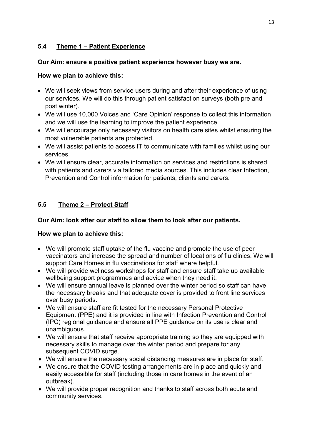# **5.4 Theme 1 – Patient Experience**

### **Our Aim: ensure a positive patient experience however busy we are.**

## **How we plan to achieve this:**

- We will seek views from service users during and after their experience of using our services. We will do this through patient satisfaction surveys (both pre and post winter).
- We will use 10,000 Voices and 'Care Opinion' response to collect this information and we will use the learning to improve the patient experience.
- We will encourage only necessary visitors on health care sites whilst ensuring the most vulnerable patients are protected.
- We will assist patients to access IT to communicate with families whilst using our services.
- We will ensure clear, accurate information on services and restrictions is shared with patients and carers via tailored media sources. This includes clear Infection, Prevention and Control information for patients, clients and carers.

# **5.5 Theme 2 – Protect Staff**

# **Our Aim: look after our staff to allow them to look after our patients.**

#### **How we plan to achieve this:**

- We will promote staff uptake of the flu vaccine and promote the use of peer vaccinators and increase the spread and number of locations of flu clinics. We will support Care Homes in flu vaccinations for staff where helpful.
- We will provide wellness workshops for staff and ensure staff take up available wellbeing support programmes and advice when they need it.
- We will ensure annual leave is planned over the winter period so staff can have the necessary breaks and that adequate cover is provided to front line services over busy periods.
- We will ensure staff are fit tested for the necessary Personal Protective Equipment (PPE) and it is provided in line with Infection Prevention and Control (IPC) regional guidance and ensure all PPE guidance on its use is clear and unambiguous.
- We will ensure that staff receive appropriate training so they are equipped with necessary skills to manage over the winter period and prepare for any subsequent COVID surge.
- We will ensure the necessary social distancing measures are in place for staff.
- We ensure that the COVID testing arrangements are in place and quickly and easily accessible for staff (including those in care homes in the event of an outbreak).
- We will provide proper recognition and thanks to staff across both acute and community services.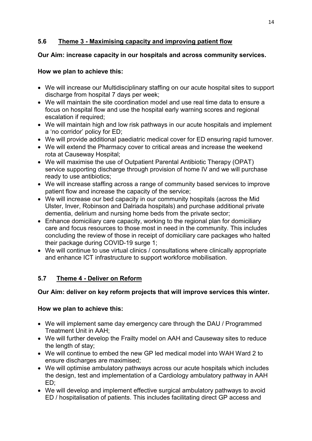# **5.6 Theme 3 - Maximising capacity and improving patient flow**

## **Our Aim: increase capacity in our hospitals and across community services.**

## **How we plan to achieve this:**

- We will increase our Multidisciplinary staffing on our acute hospital sites to support discharge from hospital 7 days per week;
- We will maintain the site coordination model and use real time data to ensure a focus on hospital flow and use the hospital early warning scores and regional escalation if required:
- We will maintain high and low risk pathways in our acute hospitals and implement a 'no corridor' policy for ED;
- We will provide additional paediatric medical cover for ED ensuring rapid turnover.
- We will extend the Pharmacy cover to critical areas and increase the weekend rota at Causeway Hospital;
- We will maximise the use of Outpatient Parental Antibiotic Therapy (OPAT) service supporting discharge through provision of home IV and we will purchase ready to use antibiotics;
- We will increase staffing across a range of community based services to improve patient flow and increase the capacity of the service;
- We will increase our bed capacity in our community hospitals (across the Mid Ulster, Inver, Robinson and Dalriada hospitals) and purchase additional private dementia, delirium and nursing home beds from the private sector;
- Enhance domiciliary care capacity, working to the regional plan for domiciliary care and focus resources to those most in need in the community. This includes concluding the review of those in receipt of domiciliary care packages who halted their package during COVID-19 surge 1;
- We will continue to use virtual clinics / consultations where clinically appropriate and enhance ICT infrastructure to support workforce mobilisation.

# **5.7 Theme 4 - Deliver on Reform**

# **Our Aim: deliver on key reform projects that will improve services this winter.**

# **How we plan to achieve this:**

- We will implement same day emergency care through the DAU / Programmed Treatment Unit in AAH;
- We will further develop the Frailty model on AAH and Causeway sites to reduce the length of stay;
- We will continue to embed the new GP led medical model into WAH Ward 2 to ensure discharges are maximised;
- We will optimise ambulatory pathways across our acute hospitals which includes the design, test and implementation of a Cardiology ambulatory pathway in AAH ED;
- We will develop and implement effective surgical ambulatory pathways to avoid ED / hospitalisation of patients. This includes facilitating direct GP access and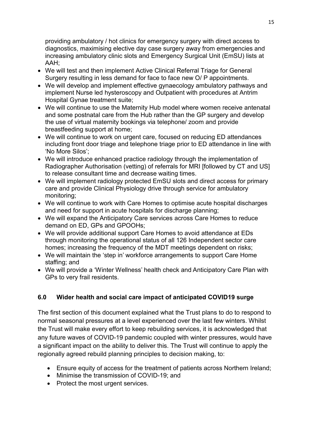providing ambulatory / hot clinics for emergency surgery with direct access to diagnostics, maximising elective day case surgery away from emergencies and increasing ambulatory clinic slots and Emergency Surgical Unit (EmSU) lists at AAH;

- We will test and then implement Active Clinical Referral Triage for General Surgery resulting in less demand for face to face new O/ P appointments.
- We will develop and implement effective gynaecology ambulatory pathways and implement Nurse led hysteroscopy and Outpatient with procedures at Antrim Hospital Gynae treatment suite;
- We will continue to use the Maternity Hub model where women receive antenatal and some postnatal care from the Hub rather than the GP surgery and develop the use of virtual maternity bookings via telephone/ zoom and provide breastfeeding support at home;
- We will continue to work on urgent care, focused on reducing ED attendances including front door triage and telephone triage prior to ED attendance in line with 'No More Silos';
- We will introduce enhanced practice radiology through the implementation of Radiographer Authorisation (vetting) of referrals for MRI [followed by CT and US] to release consultant time and decrease waiting times.
- We will implement radiology protected EmSU slots and direct access for primary care and provide Clinical Physiology drive through service for ambulatory monitoring;
- We will continue to work with Care Homes to optimise acute hospital discharges and need for support in acute hospitals for discharge planning;
- We will expand the Anticipatory Care services across Care Homes to reduce demand on ED, GPs and GPOOHs;
- We will provide additional support Care Homes to avoid attendance at EDs through monitoring the operational status of all 126 Independent sector care homes; increasing the frequency of the MDT meetings dependent on risks;
- We will maintain the 'step in' workforce arrangements to support Care Home staffing; and
- We will provide a 'Winter Wellness' health check and Anticipatory Care Plan with GPs to very frail residents.

# **6.0 Wider health and social care impact of anticipated COVID19 surge**

The first section of this document explained what the Trust plans to do to respond to normal seasonal pressures at a level experienced over the last few winters. Whilst the Trust will make every effort to keep rebuilding services, it is acknowledged that any future waves of COVID-19 pandemic coupled with winter pressures, would have a significant impact on the ability to deliver this. The Trust will continue to apply the regionally agreed rebuild planning principles to decision making, to:

- Ensure equity of access for the treatment of patients across Northern Ireland;
- Minimise the transmission of COVID-19; and
- Protect the most urgent services.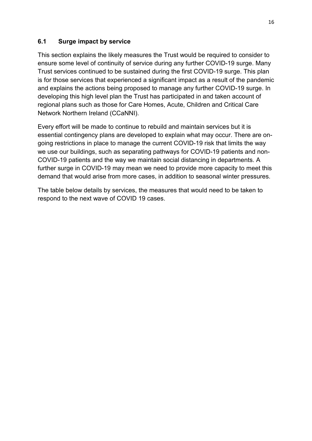# **6.1 Surge impact by service**

This section explains the likely measures the Trust would be required to consider to ensure some level of continuity of service during any further COVID-19 surge. Many Trust services continued to be sustained during the first COVID-19 surge. This plan is for those services that experienced a significant impact as a result of the pandemic and explains the actions being proposed to manage any further COVID-19 surge. In developing this high level plan the Trust has participated in and taken account of regional plans such as those for Care Homes, Acute, Children and Critical Care Network Northern Ireland (CCaNNI).

Every effort will be made to continue to rebuild and maintain services but it is essential contingency plans are developed to explain what may occur. There are ongoing restrictions in place to manage the current COVID-19 risk that limits the way we use our buildings, such as separating pathways for COVID-19 patients and non-COVID-19 patients and the way we maintain social distancing in departments. A further surge in COVID-19 may mean we need to provide more capacity to meet this demand that would arise from more cases, in addition to seasonal winter pressures.

The table below details by services, the measures that would need to be taken to respond to the next wave of COVID 19 cases.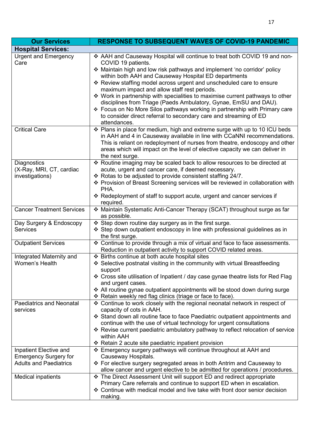| <b>Our Services</b>                                               | <b>RESPONSE TO SUBSEQUENT WAVES OF COVID-19 PANDEMIC</b>                                                                                                                                                                                                                                                                                                                                                                                                                                                                                                                                                                                                                            |
|-------------------------------------------------------------------|-------------------------------------------------------------------------------------------------------------------------------------------------------------------------------------------------------------------------------------------------------------------------------------------------------------------------------------------------------------------------------------------------------------------------------------------------------------------------------------------------------------------------------------------------------------------------------------------------------------------------------------------------------------------------------------|
| <b>Hospital Services:</b>                                         |                                                                                                                                                                                                                                                                                                                                                                                                                                                                                                                                                                                                                                                                                     |
| <b>Urgent and Emergency</b><br>Care                               | ❖ AAH and Causeway Hospital will continue to treat both COVID 19 and non-<br>COVID 19 patients.<br>❖ Maintain high and low risk pathways and implement 'no corridor' policy<br>within both AAH and Causeway Hospital ED departments<br>* Review staffing model across urgent and unscheduled care to ensure<br>maximum impact and allow staff rest periods.<br>❖ Work in partnership with specialities to maximise current pathways to other<br>disciplines from Triage (Paeds Ambulatory, Gynae, EmSU and DAU).<br>❖ Focus on No More Silos pathways working in partnership with Primary care<br>to consider direct referral to secondary care and streaming of ED<br>attendances. |
| <b>Critical Care</b>                                              | ❖ Plans in place for medium, high and extreme surge with up to 10 ICU beds<br>in AAH and 4 in Causeway available in line with CCaNNI recommendations.<br>This is reliant on redeployment of nurses from theatre, endoscopy and other<br>areas which will impact on the level of elective capacity we can deliver in<br>the next surge.                                                                                                                                                                                                                                                                                                                                              |
| <b>Diagnostics</b><br>(X-Ray, MRI, CT, cardiac<br>investigations) | * Routine imaging may be scaled back to allow resources to be directed at<br>acute, urgent and cancer care, if deemed necessary.<br>❖ Rotas to be adjusted to provide consistent staffing 24/7.<br>❖ Provision of Breast Screening services will be reviewed in collaboration with<br>PHA.<br>❖ Redeployment of staff to support acute, urgent and cancer services if<br>required.                                                                                                                                                                                                                                                                                                  |
| <b>Cancer Treatment Services</b>                                  | * Maintain Systematic Anti-Cancer Therapy (SCAT) throughout surge as far<br>as possible.                                                                                                                                                                                                                                                                                                                                                                                                                                                                                                                                                                                            |
| Day Surgery & Endoscopy<br><b>Services</b>                        | ❖ Step down routine day surgery as in the first surge.<br>❖ Step down outpatient endoscopy in line with professional guidelines as in<br>the first surge.                                                                                                                                                                                                                                                                                                                                                                                                                                                                                                                           |
| <b>Outpatient Services</b>                                        | ❖ Continue to provide through a mix of virtual and face to face assessments.<br>Reduction in outpatient activity to support COVID related areas.                                                                                                                                                                                                                                                                                                                                                                                                                                                                                                                                    |
| Integrated Maternity and<br>Women's Health                        | ❖ Births continue at both acute hospital sites<br>❖ Selective postnatal visiting in the community with virtual Breastfeeding<br>support<br>❖ Cross site utilisation of Inpatient / day case gynae theatre lists for Red Flag<br>and urgent cases.<br>❖ All routine gynae outpatient appointments will be stood down during surge<br>❖ Retain weekly red flag clinics (triage or face to face).                                                                                                                                                                                                                                                                                      |
| <b>Paediatrics and Neonatal</b><br>services                       | ❖ Continue to work closely with the regional neonatal network in respect of<br>capacity of cots in AAH.<br>❖ Stand down all routine face to face Paediatric outpatient appointments and<br>continue with the use of virtual technology for urgent consultations<br>* Revise current paediatric ambulatory pathway to reflect relocation of service<br>within AAH<br>❖ Retain 2 acute site paediatric inpatient provision                                                                                                                                                                                                                                                            |
| Inpatient Elective and<br><b>Emergency Surgery for</b>            | ❖ Emergency surgery pathways will continue throughout at AAH and<br>Causeway Hospitals.                                                                                                                                                                                                                                                                                                                                                                                                                                                                                                                                                                                             |
| <b>Adults and Paediatrics</b>                                     | ❖ For elective surgery segregated areas in both Antrim and Causeway to<br>allow cancer and urgent elective to be admitted for operations / procedures.                                                                                                                                                                                                                                                                                                                                                                                                                                                                                                                              |
| <b>Medical inpatients</b>                                         | ❖ The Direct Assessment Unit will support ED and redirect appropriate<br>Primary Care referrals and continue to support ED when in escalation.<br>❖ Continue with medical model and live take with front door senior decision<br>making.                                                                                                                                                                                                                                                                                                                                                                                                                                            |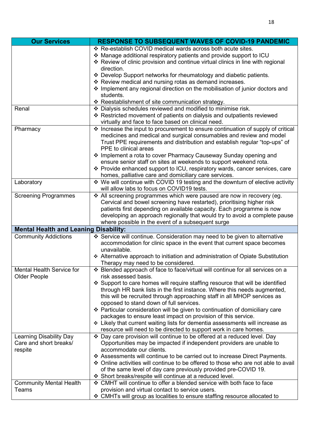| <b>Our Services</b>                                          | <b>RESPONSE TO SUBSEQUENT WAVES OF COVID-19 PANDEMIC</b>                                                                                                                                                                                                                                                                                                                                                                                                                                                            |
|--------------------------------------------------------------|---------------------------------------------------------------------------------------------------------------------------------------------------------------------------------------------------------------------------------------------------------------------------------------------------------------------------------------------------------------------------------------------------------------------------------------------------------------------------------------------------------------------|
|                                                              | ❖ Re-establish COVID medical wards across both acute sites.<br>❖ Manage additional respiratory patients and provide support to ICU<br>❖ Review of clinic provision and continue virtual clinics in line with regional<br>direction.                                                                                                                                                                                                                                                                                 |
|                                                              | * Develop Support networks for rheumatology and diabetic patients.                                                                                                                                                                                                                                                                                                                                                                                                                                                  |
|                                                              | ❖ Review medical and nursing rotas as demand increases.<br>* Implement any regional direction on the mobilisation of junior doctors and                                                                                                                                                                                                                                                                                                                                                                             |
|                                                              | students.                                                                                                                                                                                                                                                                                                                                                                                                                                                                                                           |
|                                                              | * Reestablishment of site communication strategy.                                                                                                                                                                                                                                                                                                                                                                                                                                                                   |
| Renal                                                        | Dialysis schedules reviewed and modified to minimise risk.<br>❖ Restricted movement of patients on dialysis and outpatients reviewed<br>virtually and face to face based on clinical need.                                                                                                                                                                                                                                                                                                                          |
| Pharmacy                                                     | ❖ Increase the input to procurement to ensure continuation of supply of critical<br>medicines and medical and surgical consumables and review and model<br>Trust PPE requirements and distribution and establish regular "top-ups" of<br>PPE to clinical areas<br>❖ Implement a rota to cover Pharmacy Causeway Sunday opening and                                                                                                                                                                                  |
|                                                              | ensure senior staff on sites at weekends to support weekend rota.<br>❖ Provide enhanced support to ICU, respiratory wards, cancer services, care<br>homes, palliative care and domiciliary care services.                                                                                                                                                                                                                                                                                                           |
| Laboratory                                                   | ❖ We will continue with COVID 19 testing and the downturn of elective activity<br>will allow labs to focus on COVID19 tests.                                                                                                                                                                                                                                                                                                                                                                                        |
| <b>Screening Programmes</b>                                  | * All screening programmes which were paused are now in recovery (eg.<br>Cervical and bowel screening have restarted), prioritising higher risk<br>patients first depending on available capacity. Each programme is now<br>developing an approach regionally that would try to avoid a complete pause<br>where possible in the event of a subsequent surge                                                                                                                                                         |
| <b>Mental Health and Leaning Disability:</b>                 |                                                                                                                                                                                                                                                                                                                                                                                                                                                                                                                     |
| <b>Community Addictions</b>                                  | ❖ Service will continue. Consideration may need to be given to alternative<br>accommodation for clinic space in the event that current space becomes<br>unavailable.<br>Alternative approach to initiation and administration of Opiate Substitution<br>Therapy may need to be considered.                                                                                                                                                                                                                          |
| Mental Health Service for<br><b>Older People</b>             | ❖ Blended approach of face to face/virtual will continue for all services on a<br>risk assessed basis.                                                                                                                                                                                                                                                                                                                                                                                                              |
|                                                              | ❖ Support to care homes will require staffing resource that will be identified<br>through HR bank lists in the first instance. Where this needs augmented,<br>this will be recruited through approaching staff in all MHOP services as<br>opposed to stand down of full services.<br>❖ Particular consideration will be given to continuation of domiciliary care<br>packages to ensure least impact on provision of this service.<br>❖ Likely that current waiting lists for dementia assessments will increase as |
|                                                              | resource will need to be directed to support work in care homes.                                                                                                                                                                                                                                                                                                                                                                                                                                                    |
| Learning Disability Day<br>Care and short breaks/<br>respite | ❖ Day care provision will continue to be offered at a reduced level. Day<br>Opportunities may be impacted if independent providers are unable to<br>accommodate our clients.<br>❖ Assessments will continue to be carried out to increase Direct Payments.<br>❖ Online activities will continue to be offered to those who are not able to avail<br>of the same level of day care previously provided pre-COVID 19.<br>❖ Short breaks/respite will continue at a reduced level.                                     |
| <b>Community Mental Health</b>                               | ❖ CMHT will continue to offer a blended service with both face to face                                                                                                                                                                                                                                                                                                                                                                                                                                              |
| Teams                                                        | provision and virtual contact to service users.                                                                                                                                                                                                                                                                                                                                                                                                                                                                     |
|                                                              | ❖ CMHTs will group as localities to ensure staffing resource allocated to                                                                                                                                                                                                                                                                                                                                                                                                                                           |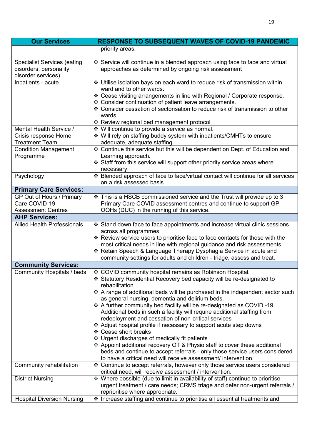| <b>Our Services</b>                                                                | <b>RESPONSE TO SUBSEQUENT WAVES OF COVID-19 PANDEMIC</b>                                                                                                       |
|------------------------------------------------------------------------------------|----------------------------------------------------------------------------------------------------------------------------------------------------------------|
|                                                                                    | priority areas.                                                                                                                                                |
| <b>Specialist Services (eating</b><br>disorders, personality<br>disorder services) | ❖ Service will continue in a blended approach using face to face and virtual<br>approaches as determined by ongoing risk assessment                            |
| Inpatients - acute                                                                 | ❖ Utilise isolation bays on each ward to reduce risk of transmission within<br>ward and to other wards.                                                        |
|                                                                                    | ❖ Cease visiting arrangements in line with Regional / Corporate response.                                                                                      |
|                                                                                    | ❖ Consider continuation of patient leave arrangements.<br>❖ Consider cessation of sectorisation to reduce risk of transmission to other<br>wards.              |
|                                                                                    | ❖ Review regional bed management protocol                                                                                                                      |
| Mental Health Service /<br>Crisis response Home                                    | ❖ Will continue to provide a service as normal.<br>❖ Will rely on staffing buddy system with inpatients/CMHTs to ensure                                        |
| <b>Treatment Team</b>                                                              | adequate, adequate staffing                                                                                                                                    |
| <b>Condition Management</b>                                                        | ❖ Continue this service but this will be dependent on Dept. of Education and<br>Learning approach.                                                             |
| Programme                                                                          | Staff from this service will support other priority service areas where<br>necessary.                                                                          |
| Psychology                                                                         | * Blended approach of face to face/virtual contact will continue for all services<br>on a risk assessed basis.                                                 |
| <b>Primary Care Services:</b>                                                      |                                                                                                                                                                |
| GP Out of Hours / Primary<br>Care COVID-19                                         | ❖ This is a HSCB commissioned service and the Trust will provide up to 3<br>Primary Care COVID assessment centres and continue to support GP                   |
| <b>Assessment Centres</b>                                                          | OOHs (DUC) in the running of this service.                                                                                                                     |
| <b>AHP Services:</b>                                                               |                                                                                                                                                                |
| <b>Allied Health Professionals</b>                                                 | ❖ Stand down face to face appointments and increase virtual clinic sessions<br>across all programmes.                                                          |
|                                                                                    | * Review service users to prioritise face to face contacts for those with the                                                                                  |
|                                                                                    | most critical needs in line with regional guidance and risk assessments.                                                                                       |
|                                                                                    | * Retain Speech & Language Therapy Dysphagia Service in acute and                                                                                              |
|                                                                                    | community settings for adults and children - triage, assess and treat.                                                                                         |
| <b>Community Services:</b><br>Community Hospitals / beds                           | ❖ COVID community hospital remains as Robinson Hospital.                                                                                                       |
|                                                                                    | ❖ Statutory Residential Recovery bed capacity will be re-designated to<br>rehabilitation.                                                                      |
|                                                                                    | ❖ A range of additional beds will be purchased in the independent sector such                                                                                  |
|                                                                                    | as general nursing, dementia and delirium beds.<br>❖ A further community bed facility will be re-designated as COVID-19.                                       |
|                                                                                    | Additional beds in such a facility will require additional staffing from                                                                                       |
|                                                                                    | redeployment and cessation of non-critical services                                                                                                            |
|                                                                                    | ❖ Adjust hospital profile if necessary to support acute step downs                                                                                             |
|                                                                                    | ❖ Cease short breaks                                                                                                                                           |
|                                                                                    | ❖ Urgent discharges of medically fit patients<br>* Appoint additional recovery OT & Physio staff to cover these additional                                     |
|                                                                                    | beds and continue to accept referrals - only those service users considered<br>to have a critical need will receive assessment/ intervention.                  |
| Community rehabilitation                                                           | ❖ Continue to accept referrals, however only those service users considered                                                                                    |
|                                                                                    | critical need, will receive assessment / intervention.                                                                                                         |
| <b>District Nursing</b>                                                            | * Where possible (due to limit in availability of staff) continue to prioritise<br>urgent treatment / care needs; CRMS triage and defer non-urgent referrals / |
|                                                                                    | reprioritise where appropriate.                                                                                                                                |
| <b>Hospital Diversion Nursing</b>                                                  | * Increase staffing and continue to prioritise all essential treatments and                                                                                    |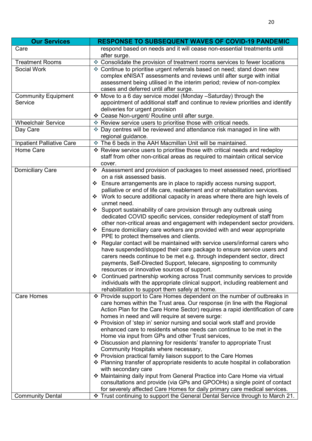| <b>Our Services</b>                   | <b>RESPONSE TO SUBSEQUENT WAVES OF COVID-19 PANDEMIC</b>                                                                                                                                                                                                                                                                                                                                                                                                                                                                                                                                                                                                                                                                                                                                                                                                                                                                                                                                                                                                                                                                                                                                                                                                                                       |
|---------------------------------------|------------------------------------------------------------------------------------------------------------------------------------------------------------------------------------------------------------------------------------------------------------------------------------------------------------------------------------------------------------------------------------------------------------------------------------------------------------------------------------------------------------------------------------------------------------------------------------------------------------------------------------------------------------------------------------------------------------------------------------------------------------------------------------------------------------------------------------------------------------------------------------------------------------------------------------------------------------------------------------------------------------------------------------------------------------------------------------------------------------------------------------------------------------------------------------------------------------------------------------------------------------------------------------------------|
| Care                                  | respond based on needs and it will cease non-essential treatments until<br>after surge.                                                                                                                                                                                                                                                                                                                                                                                                                                                                                                                                                                                                                                                                                                                                                                                                                                                                                                                                                                                                                                                                                                                                                                                                        |
| <b>Treatment Rooms</b>                | * Consolidate the provision of treatment rooms services to fewer locations                                                                                                                                                                                                                                                                                                                                                                                                                                                                                                                                                                                                                                                                                                                                                                                                                                                                                                                                                                                                                                                                                                                                                                                                                     |
| Social Work                           | ♦ Continue to prioritise urgent referrals based on need; stand down new<br>complex eNISAT assessments and reviews until after surge with initial<br>assessment being utilised in the interim period; review of non-complex<br>cases and deferred until after surge.                                                                                                                                                                                                                                                                                                                                                                                                                                                                                                                                                                                                                                                                                                                                                                                                                                                                                                                                                                                                                            |
| <b>Community Equipment</b><br>Service | ❖ Move to a 6 day service model (Monday -Saturday) through the<br>appointment of additional staff and continue to review priorities and identify<br>deliveries for urgent provision<br>❖ Cease Non-urgent/ Routine until after surge.                                                                                                                                                                                                                                                                                                                                                                                                                                                                                                                                                                                                                                                                                                                                                                                                                                                                                                                                                                                                                                                          |
| <b>Wheelchair Service</b>             | * Review service users to prioritise those with critical needs.                                                                                                                                                                                                                                                                                                                                                                                                                                                                                                                                                                                                                                                                                                                                                                                                                                                                                                                                                                                                                                                                                                                                                                                                                                |
| Day Care                              | * Day centres will be reviewed and attendance risk managed in line with<br>regional guidance.                                                                                                                                                                                                                                                                                                                                                                                                                                                                                                                                                                                                                                                                                                                                                                                                                                                                                                                                                                                                                                                                                                                                                                                                  |
| <b>Inpatient Palliative Care</b>      | The 6 beds in the AAH Macmillan Unit will be maintained.                                                                                                                                                                                                                                                                                                                                                                                                                                                                                                                                                                                                                                                                                                                                                                                                                                                                                                                                                                                                                                                                                                                                                                                                                                       |
| Home Care                             | * Review service users to prioritise those with critical needs and redeploy<br>staff from other non-critical areas as required to maintain critical service<br>cover.                                                                                                                                                                                                                                                                                                                                                                                                                                                                                                                                                                                                                                                                                                                                                                                                                                                                                                                                                                                                                                                                                                                          |
| <b>Domiciliary Care</b>               | ❖ Assessment and provision of packages to meet assessed need, prioritised<br>on a risk assessed basis.<br>❖ Ensure arrangements are in place to rapidly access nursing support,<br>palliative or end of life care, reablement and or rehabilitation services.<br>❖ Work to secure additional capacity in areas where there are high levels of<br>unmet need.<br>❖ Support sustainability of care provision through any outbreak using<br>dedicated COVID specific services, consider redeployment of staff from<br>other non-critical areas and engagement with independent sector providers.<br>❖ Ensure domiciliary care workers are provided with and wear appropriate<br>PPE to protect themselves and clients.<br>Regular contact will be maintained with service users/informal carers who<br>❖<br>have suspended/stopped their care package to ensure service users and<br>carers needs continue to be met e.g. through independent sector, direct<br>payments, Self-Directed Support, telecare, signposting to community<br>resources or innovative sources of support.<br>❖ Continued partnership working across Trust community services to provide<br>individuals with the appropriate clinical support, including reablement and<br>rehabilitation to support them safely at home. |
| <b>Care Homes</b>                     | ❖ Provide support to Care Homes dependent on the number of outbreaks in<br>care homes within the Trust area. Our response (in line with the Regional<br>Action Plan for the Care Home Sector) requires a rapid identification of care<br>homes in need and will require at severe surge:<br>❖ Provision of 'step in' senior nursing and social work staff and provide<br>enhanced care to residents whose needs can continue to be met in the<br>Home via input from GPs and other Trust services,<br>❖ Discussion and planning for residents' transfer to appropriate Trust<br>Community Hospitals where necessary,<br>❖ Provision practical family liaison support to the Care Homes<br>❖ Planning transfer of appropriate residents to acute hospital in collaboration<br>with secondary care<br>❖ Maintaining daily input from General Practice into Care Home via virtual<br>consultations and provide (via GPs and GPOOHs) a single point of contact<br>for severely affected Care Homes for daily primary care medical services.                                                                                                                                                                                                                                                        |
| <b>Community Dental</b>               | ❖ Trust continuing to support the General Dental Service through to March 21.                                                                                                                                                                                                                                                                                                                                                                                                                                                                                                                                                                                                                                                                                                                                                                                                                                                                                                                                                                                                                                                                                                                                                                                                                  |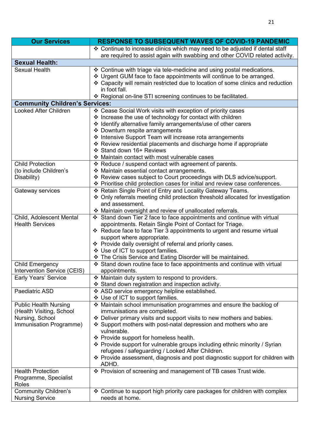| <b>Our Services</b>                                                                                     | <b>RESPONSE TO SUBSEQUENT WAVES OF COVID-19 PANDEMIC</b>                                                                                                                                                                                                                                                                                                                                                                                                                                                                               |
|---------------------------------------------------------------------------------------------------------|----------------------------------------------------------------------------------------------------------------------------------------------------------------------------------------------------------------------------------------------------------------------------------------------------------------------------------------------------------------------------------------------------------------------------------------------------------------------------------------------------------------------------------------|
|                                                                                                         | ❖ Continue to increase clinics which may need to be adjusted if dental staff<br>are required to assist again with swabbing and other COVID related activity.                                                                                                                                                                                                                                                                                                                                                                           |
| <b>Sexual Health:</b>                                                                                   |                                                                                                                                                                                                                                                                                                                                                                                                                                                                                                                                        |
| <b>Sexual Health</b>                                                                                    | ❖ Continue with triage via tele-medicine and using postal medications.<br>* Urgent GUM face to face appointments will continue to be arranged.<br>❖ Capacity will remain restricted due to location of some clinics and reduction<br>in foot fall.<br>❖ Regional on-line STI screening continues to be facilitated.                                                                                                                                                                                                                    |
| <b>Community Children's Services:</b>                                                                   |                                                                                                                                                                                                                                                                                                                                                                                                                                                                                                                                        |
| <b>Looked After Children</b>                                                                            | ❖ Cease Social Work visits with exception of priority cases<br>❖ Increase the use of technology for contact with children<br>* Identify alternative family arrangements/use of other carers<br>❖ Downturn respite arrangements<br>❖ Intensive Support Team will increase rota arrangements                                                                                                                                                                                                                                             |
|                                                                                                         | ❖ Review residential placements and discharge home if appropriate<br>❖ Stand down 16+ Reviews<br>❖ Maintain contact with most vulnerable cases                                                                                                                                                                                                                                                                                                                                                                                         |
| <b>Child Protection</b><br>(to include Children's<br>Disability)                                        | ❖ Reduce / suspend contact with agreement of parents.<br>* Maintain essential contact arrangements.<br>* Review cases subject to Court proceedings with DLS advice/support.<br>❖ Prioritise child protection cases for initial and review case conferences.                                                                                                                                                                                                                                                                            |
| Gateway services                                                                                        | ❖ Retain Single Point of Entry and Locality Gateway Teams.<br>❖ Only referrals meeting child protection threshold allocated for investigation<br>and assessment.<br>❖ Maintain oversight and review of unallocated referrals.                                                                                                                                                                                                                                                                                                          |
| Child, Adolescent Mental<br><b>Health Services</b>                                                      | Stand down Tier 2 face to face appointments and continue with virtual<br>appointments. Retain Single Point of Contact for Triage.<br>* Reduce face to face Tier 3 appointments to urgent and resume virtual<br>support where appropriate.<br>❖ Provide daily oversight of referral and priority cases.<br>❖ Use of ICT to support families.<br>* The Crisis Service and Eating Disorder will be maintained.                                                                                                                            |
| <b>Child Emergency</b><br>Intervention Service (CEIS)                                                   | ❖ Stand down routine face to face appointments and continue with virtual<br>appointments.                                                                                                                                                                                                                                                                                                                                                                                                                                              |
| Early Years' Service                                                                                    | ❖ Maintain duty system to respond to providers.<br>❖ Stand down registration and inspection activity.                                                                                                                                                                                                                                                                                                                                                                                                                                  |
| Paediatric ASD                                                                                          | ❖ ASD service emergency helpline established.<br>❖ Use of ICT to support families.                                                                                                                                                                                                                                                                                                                                                                                                                                                     |
| <b>Public Health Nursing</b><br>(Health Visiting, School)<br>Nursing, School<br>Immunisation Programme) | ❖ Maintain school immunisation programmes and ensure the backlog of<br>immunisations are completed.<br>❖ Deliver primary visits and support visits to new mothers and babies.<br>❖ Support mothers with post-natal depression and mothers who are<br>vulnerable.<br>❖ Provide support for homeless health.<br>❖ Provide support for vulnerable groups including ethnic minority / Syrian<br>refugees / safeguarding / Looked After Children.<br>❖ Provide assessment, diagnosis and post diagnostic support for children with<br>ADHD. |
| <b>Health Protection</b><br>Programme, Specialist<br>Roles                                              | ❖ Provision of screening and management of TB cases Trust wide.                                                                                                                                                                                                                                                                                                                                                                                                                                                                        |
| <b>Community Children's</b><br><b>Nursing Service</b>                                                   | ❖ Continue to support high priority care packages for children with complex<br>needs at home.                                                                                                                                                                                                                                                                                                                                                                                                                                          |